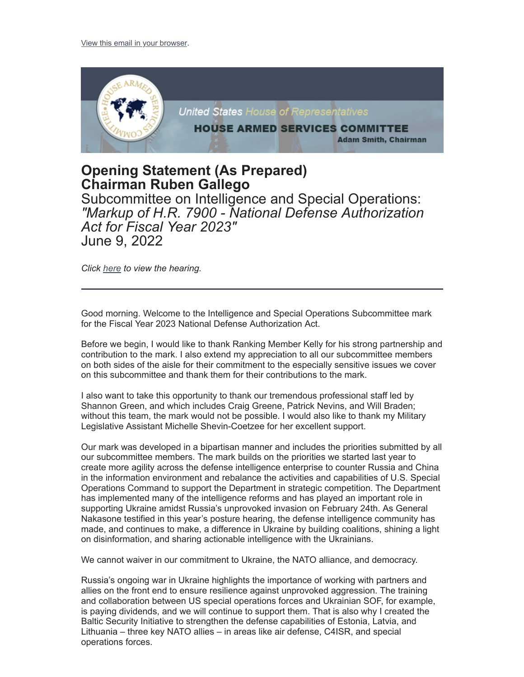

## **Opening Statement (As Prepared) Chairman Ruben Gallego**

Subcommittee on Intelligence and Special Operations: *"Markup of H.R. 7900 - National Defense Authorization Act for Fiscal Year 2023"* June 9, 2022

*Click [here](https://armedservices.house.gov/hearings?ID=A5988C72-CBF6-45F9-B2D3-8614689C8BA4) to view the hearing.*

Good morning. Welcome to the Intelligence and Special Operations Subcommittee mark for the Fiscal Year 2023 National Defense Authorization Act.

Before we begin, I would like to thank Ranking Member Kelly for his strong partnership and contribution to the mark. I also extend my appreciation to all our subcommittee members on both sides of the aisle for their commitment to the especially sensitive issues we cover on this subcommittee and thank them for their contributions to the mark.

I also want to take this opportunity to thank our tremendous professional staff led by Shannon Green, and which includes Craig Greene, Patrick Nevins, and Will Braden; without this team, the mark would not be possible. I would also like to thank my Military Legislative Assistant Michelle Shevin-Coetzee for her excellent support.

Our mark was developed in a bipartisan manner and includes the priorities submitted by all our subcommittee members. The mark builds on the priorities we started last year to create more agility across the defense intelligence enterprise to counter Russia and China in the information environment and rebalance the activities and capabilities of U.S. Special Operations Command to support the Department in strategic competition. The Department has implemented many of the intelligence reforms and has played an important role in supporting Ukraine amidst Russia's unprovoked invasion on February 24th. As General Nakasone testified in this year's posture hearing, the defense intelligence community has made, and continues to make, a difference in Ukraine by building coalitions, shining a light on disinformation, and sharing actionable intelligence with the Ukrainians.

We cannot waiver in our commitment to Ukraine, the NATO alliance, and democracy.

Russia's ongoing war in Ukraine highlights the importance of working with partners and allies on the front end to ensure resilience against unprovoked aggression. The training and collaboration between US special operations forces and Ukrainian SOF, for example, is paying dividends, and we will continue to support them. That is also why I created the Baltic Security Initiative to strengthen the defense capabilities of Estonia, Latvia, and Lithuania – three key NATO allies – in areas like air defense, C4ISR, and special operations forces.